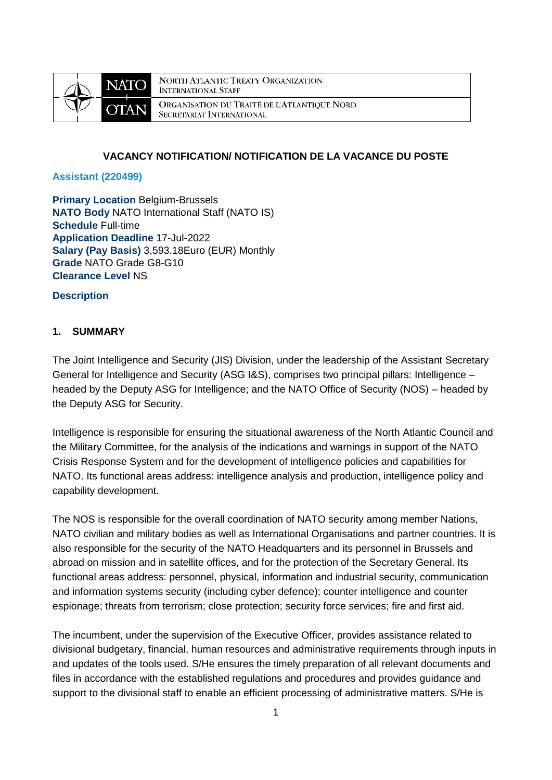

**NORTH ATLANTIC TREATY ORGANIZATION INTERNATIONAL STAFF** ORGANISATION DU TRAITÉ DE L'ATLANTIQUE NORD SECRÉTARIAT INTERNATIONAL

### **VACANCY NOTIFICATION/ NOTIFICATION DE LA VACANCE DU POSTE**

#### **Assistant (220499)**

**Primary Location Belgium-Brussels NATO Body** NATO International Staff (NATO IS) **Schedule** Full-time **Application Deadline** 17-Jul-2022 **Salary (Pay Basis)** 3,593.18Euro (EUR) Monthly **Grade** NATO Grade G8-G10 **Clearance Level** NS

#### **Description**

## **1. SUMMARY**

The Joint Intelligence and Security (JIS) Division, under the leadership of the Assistant Secretary General for Intelligence and Security (ASG I&S), comprises two principal pillars: Intelligence – headed by the Deputy ASG for Intelligence; and the NATO Office of Security (NOS) – headed by the Deputy ASG for Security.

Intelligence is responsible for ensuring the situational awareness of the North Atlantic Council and the Military Committee, for the analysis of the indications and warnings in support of the NATO Crisis Response System and for the development of intelligence policies and capabilities for NATO. Its functional areas address: intelligence analysis and production, intelligence policy and capability development.

The NOS is responsible for the overall coordination of NATO security among member Nations, NATO civilian and military bodies as well as International Organisations and partner countries. It is also responsible for the security of the NATO Headquarters and its personnel in Brussels and abroad on mission and in satellite offices, and for the protection of the Secretary General. Its functional areas address: personnel, physical, information and industrial security, communication and information systems security (including cyber defence); counter intelligence and counter espionage; threats from terrorism; close protection; security force services; fire and first aid.

The incumbent, under the supervision of the Executive Officer, provides assistance related to divisional budgetary, financial, human resources and administrative requirements through inputs in and updates of the tools used. S/He ensures the timely preparation of all relevant documents and files in accordance with the established regulations and procedures and provides guidance and support to the divisional staff to enable an efficient processing of administrative matters. S/He is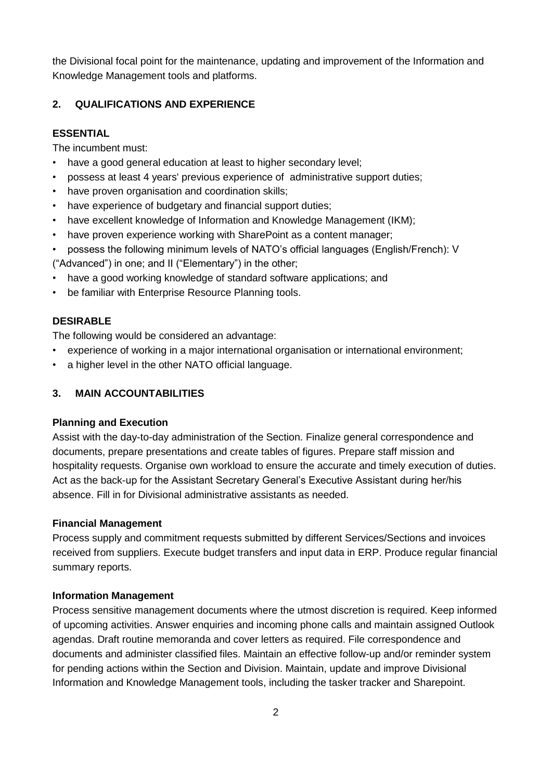the Divisional focal point for the maintenance, updating and improvement of the Information and Knowledge Management tools and platforms.

## **2. QUALIFICATIONS AND EXPERIENCE**

#### **ESSENTIAL**

The incumbent must:

- have a good general education at least to higher secondary level;
- possess at least 4 years' previous experience of administrative support duties;
- have proven organisation and coordination skills;
- have experience of budgetary and financial support duties;
- have excellent knowledge of Information and Knowledge Management (IKM);
- have proven experience working with SharePoint as a content manager;
- possess the following minimum levels of NATO's official languages (English/French): V

("Advanced") in one; and II ("Elementary") in the other;

- have a good working knowledge of standard software applications; and
- be familiar with Enterprise Resource Planning tools.

## **DESIRABLE**

The following would be considered an advantage:

- experience of working in a major international organisation or international environment;
- a higher level in the other NATO official language.

#### **3. MAIN ACCOUNTABILITIES**

#### **Planning and Execution**

Assist with the day-to-day administration of the Section. Finalize general correspondence and documents, prepare presentations and create tables of figures. Prepare staff mission and hospitality requests. Organise own workload to ensure the accurate and timely execution of duties. Act as the back-up for the Assistant Secretary General's Executive Assistant during her/his absence. Fill in for Divisional administrative assistants as needed.

#### **Financial Management**

Process supply and commitment requests submitted by different Services/Sections and invoices received from suppliers. Execute budget transfers and input data in ERP. Produce regular financial summary reports.

#### **Information Management**

Process sensitive management documents where the utmost discretion is required. Keep informed of upcoming activities. Answer enquiries and incoming phone calls and maintain assigned Outlook agendas. Draft routine memoranda and cover letters as required. File correspondence and documents and administer classified files. Maintain an effective follow-up and/or reminder system for pending actions within the Section and Division. Maintain, update and improve Divisional Information and Knowledge Management tools, including the tasker tracker and Sharepoint.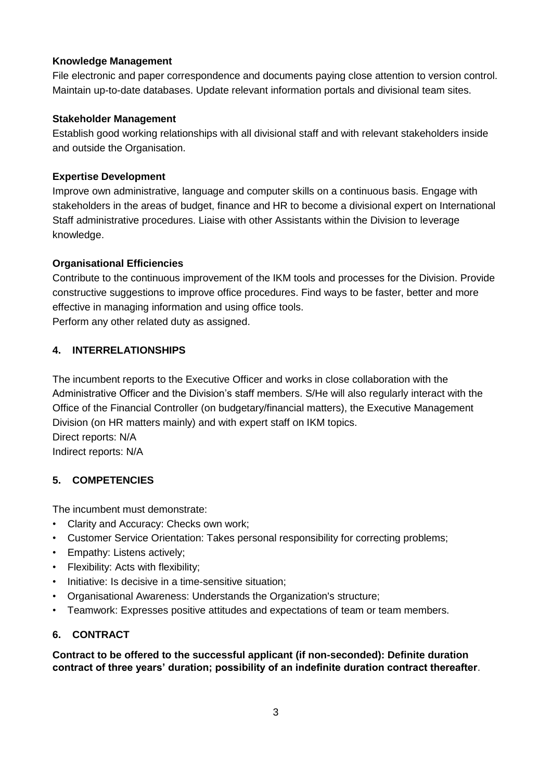## **Knowledge Management**

File electronic and paper correspondence and documents paying close attention to version control. Maintain up-to-date databases. Update relevant information portals and divisional team sites.

## **Stakeholder Management**

Establish good working relationships with all divisional staff and with relevant stakeholders inside and outside the Organisation.

## **Expertise Development**

Improve own administrative, language and computer skills on a continuous basis. Engage with stakeholders in the areas of budget, finance and HR to become a divisional expert on International Staff administrative procedures. Liaise with other Assistants within the Division to leverage knowledge.

## **Organisational Efficiencies**

Contribute to the continuous improvement of the IKM tools and processes for the Division. Provide constructive suggestions to improve office procedures. Find ways to be faster, better and more effective in managing information and using office tools. Perform any other related duty as assigned.

## **4. INTERRELATIONSHIPS**

The incumbent reports to the Executive Officer and works in close collaboration with the Administrative Officer and the Division's staff members. S/He will also regularly interact with the Office of the Financial Controller (on budgetary/financial matters), the Executive Management Division (on HR matters mainly) and with expert staff on IKM topics. Direct reports: N/A Indirect reports: N/A

## **5. COMPETENCIES**

The incumbent must demonstrate:

- Clarity and Accuracy: Checks own work;
- Customer Service Orientation: Takes personal responsibility for correcting problems;
- Empathy: Listens actively;
- Flexibility: Acts with flexibility;
- Initiative: Is decisive in a time-sensitive situation;
- Organisational Awareness: Understands the Organization's structure;
- Teamwork: Expresses positive attitudes and expectations of team or team members.

## **6. CONTRACT**

**Contract to be offered to the successful applicant (if non-seconded): Definite duration contract of three years' duration; possibility of an indefinite duration contract thereafter**.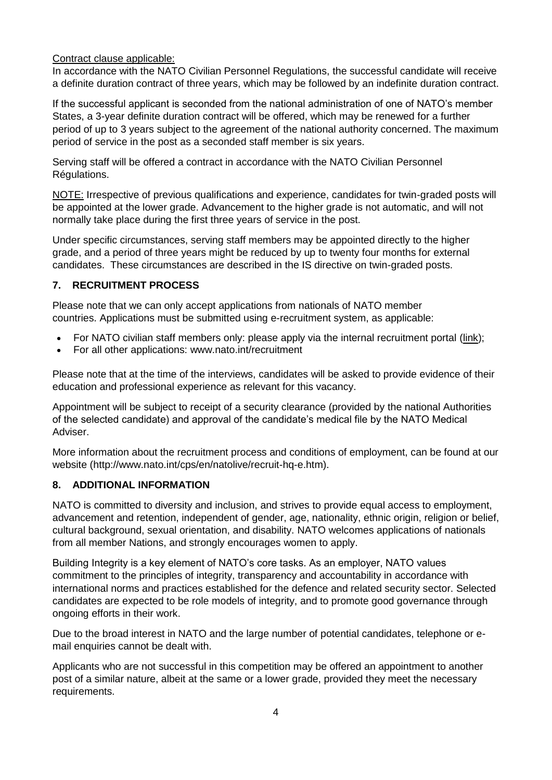## Contract clause applicable:

In accordance with the NATO Civilian Personnel Regulations, the successful candidate will receive a definite duration contract of three years, which may be followed by an indefinite duration contract.

If the successful applicant is seconded from the national administration of one of NATO's member States, a 3-year definite duration contract will be offered, which may be renewed for a further period of up to 3 years subject to the agreement of the national authority concerned. The maximum period of service in the post as a seconded staff member is six years.

Serving staff will be offered a contract in accordance with the NATO Civilian Personnel Régulations.

NOTE: Irrespective of previous qualifications and experience, candidates for twin-graded posts will be appointed at the lower grade. Advancement to the higher grade is not automatic, and will not normally take place during the first three years of service in the post.

Under specific circumstances, serving staff members may be appointed directly to the higher grade, and a period of three years might be reduced by up to twenty four months for external candidates. These circumstances are described in the IS directive on twin-graded posts.

# **7. RECRUITMENT PROCESS**

Please note that we can only accept applications from nationals of NATO member countries. Applications must be submitted using e-recruitment system, as applicable:

- For NATO civilian staff members only: please apply via the internal recruitment portal [\(link\)](https://nato.taleo.net/careersection/1/jobsearch.ftl?lang=en);
- For all other applications: www.nato.int/recruitment

Please note that at the time of the interviews, candidates will be asked to provide evidence of their education and professional experience as relevant for this vacancy.

Appointment will be subject to receipt of a security clearance (provided by the national Authorities of the selected candidate) and approval of the candidate's medical file by the NATO Medical Adviser.

More information about the recruitment process and conditions of employment, can be found at our website (http://www.nato.int/cps/en/natolive/recruit-hq-e.htm).

## **8. ADDITIONAL INFORMATION**

NATO is committed to diversity and inclusion, and strives to provide equal access to employment, advancement and retention, independent of gender, age, nationality, ethnic origin, religion or belief, cultural background, sexual orientation, and disability. NATO welcomes applications of nationals from all member Nations, and strongly encourages women to apply.

Building Integrity is a key element of NATO's core tasks. As an employer, NATO values commitment to the principles of integrity, transparency and accountability in accordance with international norms and practices established for the defence and related security sector. Selected candidates are expected to be role models of integrity, and to promote good governance through ongoing efforts in their work.

Due to the broad interest in NATO and the large number of potential candidates, telephone or email enquiries cannot be dealt with.

Applicants who are not successful in this competition may be offered an appointment to another post of a similar nature, albeit at the same or a lower grade, provided they meet the necessary requirements.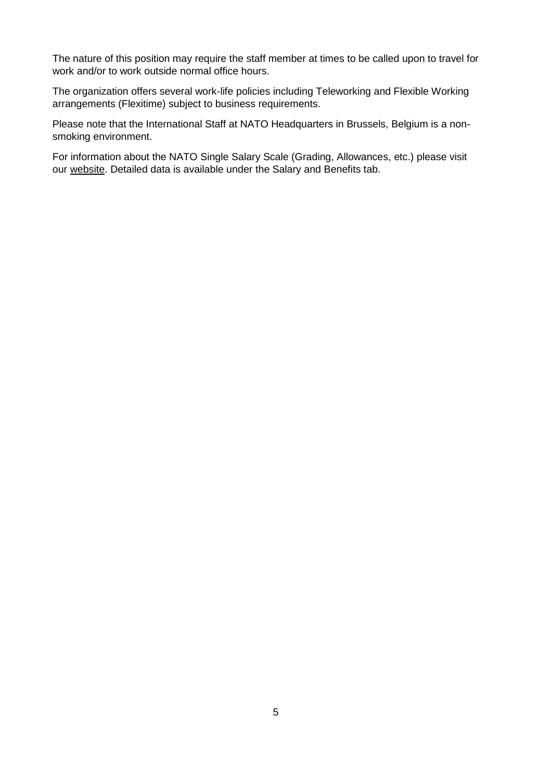The nature of this position may require the staff member at times to be called upon to travel for work and/or to work outside normal office hours.

The organization offers several work-life policies including Teleworking and Flexible Working arrangements (Flexitime) subject to business requirements.

Please note that the International Staff at NATO Headquarters in Brussels, Belgium is a nonsmoking environment.

For information about the NATO Single Salary Scale (Grading, Allowances, etc.) please visit our [website.](https://www.nato.int/cps/en/natolive/86790.htm) Detailed data is available under the Salary and Benefits tab.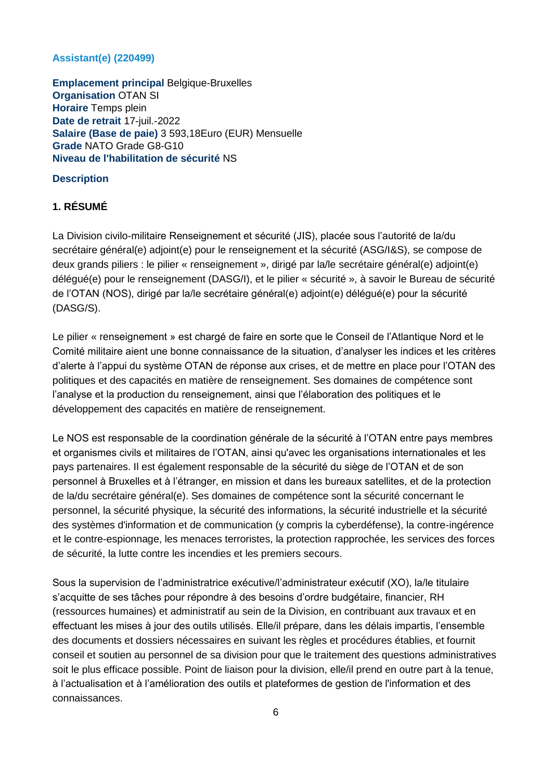## **Assistant(e) (220499)**

**Emplacement principal Belgique-Bruxelles Organisation** OTAN SI **Horaire** Temps plein **Date de retrait** 17-juil.-2022 **Salaire (Base de paie)** 3 593,18Euro (EUR) Mensuelle **Grade** NATO Grade G8-G10 **Niveau de l'habilitation de sécurité** NS

## **Description**

## **1. RÉSUMÉ**

La Division civilo-militaire Renseignement et sécurité (JIS), placée sous l'autorité de la/du secrétaire général(e) adjoint(e) pour le renseignement et la sécurité (ASG/I&S), se compose de deux grands piliers : le pilier « renseignement », dirigé par la/le secrétaire général(e) adjoint(e) délégué(e) pour le renseignement (DASG/I), et le pilier « sécurité », à savoir le Bureau de sécurité de l'OTAN (NOS), dirigé par la/le secrétaire général(e) adjoint(e) délégué(e) pour la sécurité (DASG/S).

Le pilier « renseignement » est chargé de faire en sorte que le Conseil de l'Atlantique Nord et le Comité militaire aient une bonne connaissance de la situation, d'analyser les indices et les critères d'alerte à l'appui du système OTAN de réponse aux crises, et de mettre en place pour l'OTAN des politiques et des capacités en matière de renseignement. Ses domaines de compétence sont l'analyse et la production du renseignement, ainsi que l'élaboration des politiques et le développement des capacités en matière de renseignement.

Le NOS est responsable de la coordination générale de la sécurité à l'OTAN entre pays membres et organismes civils et militaires de l'OTAN, ainsi qu'avec les organisations internationales et les pays partenaires. Il est également responsable de la sécurité du siège de l'OTAN et de son personnel à Bruxelles et à l'étranger, en mission et dans les bureaux satellites, et de la protection de la/du secrétaire général(e). Ses domaines de compétence sont la sécurité concernant le personnel, la sécurité physique, la sécurité des informations, la sécurité industrielle et la sécurité des systèmes d'information et de communication (y compris la cyberdéfense), la contre-ingérence et le contre-espionnage, les menaces terroristes, la protection rapprochée, les services des forces de sécurité, la lutte contre les incendies et les premiers secours.

Sous la supervision de l'administratrice exécutive/l'administrateur exécutif (XO), la/le titulaire s'acquitte de ses tâches pour répondre à des besoins d'ordre budgétaire, financier, RH (ressources humaines) et administratif au sein de la Division, en contribuant aux travaux et en effectuant les mises à jour des outils utilisés. Elle/il prépare, dans les délais impartis, l'ensemble des documents et dossiers nécessaires en suivant les règles et procédures établies, et fournit conseil et soutien au personnel de sa division pour que le traitement des questions administratives soit le plus efficace possible. Point de liaison pour la division, elle/il prend en outre part à la tenue, à l'actualisation et à l'amélioration des outils et plateformes de gestion de l'information et des connaissances.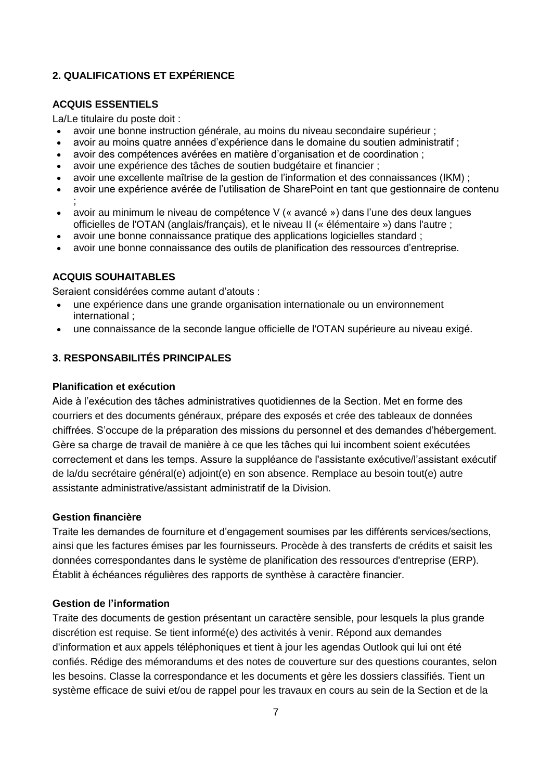# **2. QUALIFICATIONS ET EXPÉRIENCE**

### **ACQUIS ESSENTIELS**

La/Le titulaire du poste doit :

- avoir une bonne instruction générale, au moins du niveau secondaire supérieur ;
- avoir au moins quatre années d'expérience dans le domaine du soutien administratif ;
- avoir des compétences avérées en matière d'organisation et de coordination ;
- avoir une expérience des tâches de soutien budgétaire et financier ;
- avoir une excellente maîtrise de la gestion de l'information et des connaissances (IKM) ;
- avoir une expérience avérée de l'utilisation de SharePoint en tant que gestionnaire de contenu ;
- avoir au minimum le niveau de compétence V (« avancé ») dans l'une des deux langues officielles de l'OTAN (anglais/français), et le niveau II (« élémentaire ») dans l'autre ;
- avoir une bonne connaissance pratique des applications logicielles standard ;
- avoir une bonne connaissance des outils de planification des ressources d'entreprise.

### **ACQUIS SOUHAITABLES**

Seraient considérées comme autant d'atouts :

- une expérience dans une grande organisation internationale ou un environnement international ;
- une connaissance de la seconde langue officielle de l'OTAN supérieure au niveau exigé.

## **3. RESPONSABILITÉS PRINCIPALES**

#### **Planification et exécution**

Aide à l'exécution des tâches administratives quotidiennes de la Section. Met en forme des courriers et des documents généraux, prépare des exposés et crée des tableaux de données chiffrées. S'occupe de la préparation des missions du personnel et des demandes d'hébergement. Gère sa charge de travail de manière à ce que les tâches qui lui incombent soient exécutées correctement et dans les temps. Assure la suppléance de l'assistante exécutive/l'assistant exécutif de la/du secrétaire général(e) adjoint(e) en son absence. Remplace au besoin tout(e) autre assistante administrative/assistant administratif de la Division.

### **Gestion financière**

Traite les demandes de fourniture et d'engagement soumises par les différents services/sections, ainsi que les factures émises par les fournisseurs. Procède à des transferts de crédits et saisit les données correspondantes dans le système de planification des ressources d'entreprise (ERP). Établit à échéances régulières des rapports de synthèse à caractère financier.

### **Gestion de l'information**

Traite des documents de gestion présentant un caractère sensible, pour lesquels la plus grande discrétion est requise. Se tient informé(e) des activités à venir. Répond aux demandes d'information et aux appels téléphoniques et tient à jour les agendas Outlook qui lui ont été confiés. Rédige des mémorandums et des notes de couverture sur des questions courantes, selon les besoins. Classe la correspondance et les documents et gère les dossiers classifiés. Tient un système efficace de suivi et/ou de rappel pour les travaux en cours au sein de la Section et de la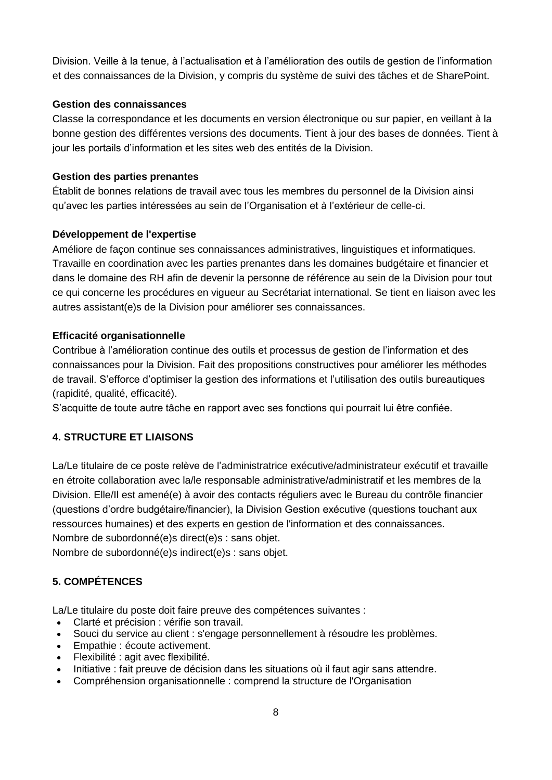Division. Veille à la tenue, à l'actualisation et à l'amélioration des outils de gestion de l'information et des connaissances de la Division, y compris du système de suivi des tâches et de SharePoint.

### **Gestion des connaissances**

Classe la correspondance et les documents en version électronique ou sur papier, en veillant à la bonne gestion des différentes versions des documents. Tient à jour des bases de données. Tient à jour les portails d'information et les sites web des entités de la Division.

## **Gestion des parties prenantes**

Établit de bonnes relations de travail avec tous les membres du personnel de la Division ainsi qu'avec les parties intéressées au sein de l'Organisation et à l'extérieur de celle-ci.

## **Développement de l'expertise**

Améliore de façon continue ses connaissances administratives, linguistiques et informatiques. Travaille en coordination avec les parties prenantes dans les domaines budgétaire et financier et dans le domaine des RH afin de devenir la personne de référence au sein de la Division pour tout ce qui concerne les procédures en vigueur au Secrétariat international. Se tient en liaison avec les autres assistant(e)s de la Division pour améliorer ses connaissances.

## **Efficacité organisationnelle**

Contribue à l'amélioration continue des outils et processus de gestion de l'information et des connaissances pour la Division. Fait des propositions constructives pour améliorer les méthodes de travail. S'efforce d'optimiser la gestion des informations et l'utilisation des outils bureautiques (rapidité, qualité, efficacité).

S'acquitte de toute autre tâche en rapport avec ses fonctions qui pourrait lui être confiée.

## **4. STRUCTURE ET LIAISONS**

La/Le titulaire de ce poste relève de l'administratrice exécutive/administrateur exécutif et travaille en étroite collaboration avec la/le responsable administrative/administratif et les membres de la Division. Elle/Il est amené(e) à avoir des contacts réguliers avec le Bureau du contrôle financier (questions d'ordre budgétaire/financier), la Division Gestion exécutive (questions touchant aux ressources humaines) et des experts en gestion de l'information et des connaissances. Nombre de subordonné(e)s direct(e)s : sans objet.

Nombre de subordonné(e)s indirect(e)s : sans objet.

# **5. COMPÉTENCES**

La/Le titulaire du poste doit faire preuve des compétences suivantes :

- Clarté et précision : vérifie son travail.
- Souci du service au client : s'engage personnellement à résoudre les problèmes.
- Empathie : écoute activement.
- Flexibilité : agit avec flexibilité.
- Initiative : fait preuve de décision dans les situations où il faut agir sans attendre.
- Compréhension organisationnelle : comprend la structure de l'Organisation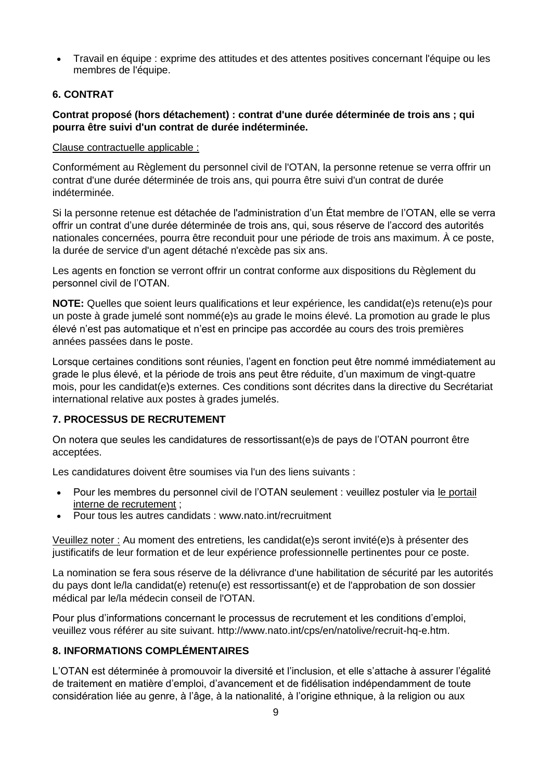Travail en équipe : exprime des attitudes et des attentes positives concernant l'équipe ou les membres de l'équipe.

## **6. CONTRAT**

## **Contrat proposé (hors détachement) : contrat d'une durée déterminée de trois ans ; qui pourra être suivi d'un contrat de durée indéterminée.**

#### Clause contractuelle applicable :

Conformément au Règlement du personnel civil de l'OTAN, la personne retenue se verra offrir un contrat d'une durée déterminée de trois ans, qui pourra être suivi d'un contrat de durée indéterminée.

Si la personne retenue est détachée de l'administration d'un État membre de l'OTAN, elle se verra offrir un contrat d'une durée déterminée de trois ans, qui, sous réserve de l'accord des autorités nationales concernées, pourra être reconduit pour une période de trois ans maximum. À ce poste, la durée de service d'un agent détaché n'excède pas six ans.

Les agents en fonction se verront offrir un contrat conforme aux dispositions du Règlement du personnel civil de l'OTAN.

**NOTE:** Quelles que soient leurs qualifications et leur expérience, les candidat(e)s retenu(e)s pour un poste à grade jumelé sont nommé(e)s au grade le moins élevé. La promotion au grade le plus élevé n'est pas automatique et n'est en principe pas accordée au cours des trois premières années passées dans le poste.

Lorsque certaines conditions sont réunies, l'agent en fonction peut être nommé immédiatement au grade le plus élevé, et la période de trois ans peut être réduite, d'un maximum de vingt-quatre mois, pour les candidat(e)s externes. Ces conditions sont décrites dans la directive du Secrétariat international relative aux postes à grades jumelés.

### **7. PROCESSUS DE RECRUTEMENT**

On notera que seules les candidatures de ressortissant(e)s de pays de l'OTAN pourront être acceptées.

Les candidatures doivent être soumises via l'un des liens suivants :

- Pour les membres du personnel civil de l'OTAN seulement : veuillez postuler via [le portail](http://nato.taleo.net/careersection/1/jobsearch.ftl?lang=en)  [interne de recrutement](http://nato.taleo.net/careersection/1/jobsearch.ftl?lang=en) ;
- Pour tous les autres candidats : www.nato.int/recruitment

Veuillez noter : Au moment des entretiens, les candidat(e)s seront invité(e)s à présenter des justificatifs de leur formation et de leur expérience professionnelle pertinentes pour ce poste.

La nomination se fera sous réserve de la délivrance d'une habilitation de sécurité par les autorités du pays dont le/la candidat(e) retenu(e) est ressortissant(e) et de l'approbation de son dossier médical par le/la médecin conseil de l'OTAN.

Pour plus d'informations concernant le processus de recrutement et les conditions d'emploi, veuillez vous référer au site suivant. http://www.nato.int/cps/en/natolive/recruit-hq-e.htm.

### **8. INFORMATIONS COMPLÉMENTAIRES**

L'OTAN est déterminée à promouvoir la diversité et l'inclusion, et elle s'attache à assurer l'égalité de traitement en matière d'emploi, d'avancement et de fidélisation indépendamment de toute considération liée au genre, à l'âge, à la nationalité, à l'origine ethnique, à la religion ou aux